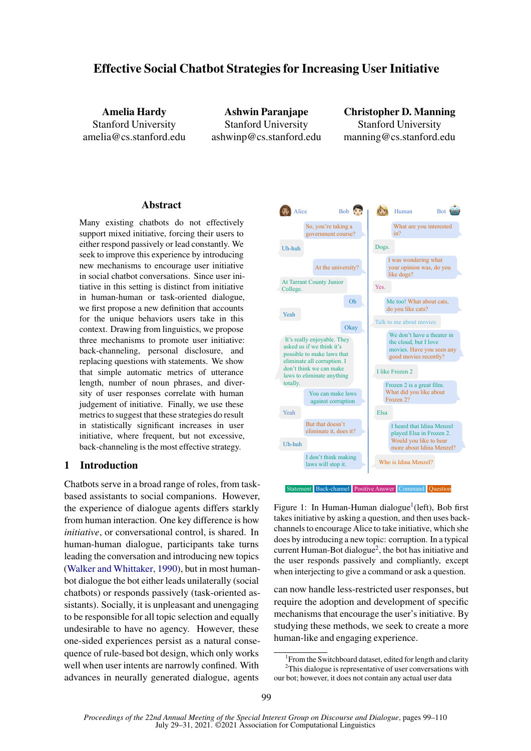# Effective Social Chatbot Strategies for Increasing User Initiative

Amelia Hardy Stanford University amelia@cs.stanford.edu

Ashwin Paranjape Stanford University ashwinp@cs.stanford.edu

Christopher D. Manning Stanford University manning@cs.stanford.edu

## Abstract

Many existing chatbots do not effectively support mixed initiative, forcing their users to either respond passively or lead constantly. We seek to improve this experience by introducing new mechanisms to encourage user initiative in social chatbot conversations. Since user initiative in this setting is distinct from initiative in human-human or task-oriented dialogue, we first propose a new definition that accounts for the unique behaviors users take in this context. Drawing from linguistics, we propose three mechanisms to promote user initiative: back-channeling, personal disclosure, and replacing questions with statements. We show that simple automatic metrics of utterance length, number of noun phrases, and diversity of user responses correlate with human judgement of initiative. Finally, we use these metrics to suggest that these strategies do result in statistically significant increases in user initiative, where frequent, but not excessive, back-channeling is the most effective strategy.

## 1 Introduction

Chatbots serve in a broad range of roles, from taskbased assistants to social companions. However, the experience of dialogue agents differs starkly from human interaction. One key difference is how *initiative*, or conversational control, is shared. In human-human dialogue, participants take turns leading the conversation and introducing new topics [\(Walker and Whittaker,](#page-9-0) [1990\)](#page-9-0), but in most humanbot dialogue the bot either leads unilaterally (social chatbots) or responds passively (task-oriented assistants). Socially, it is unpleasant and unengaging to be responsible for all topic selection and equally undesirable to have no agency. However, these one-sided experiences persist as a natural consequence of rule-based bot design, which only works well when user intents are narrowly confined. With advances in neurally generated dialogue, agents



Figure 1: In Human-Human dialogue<sup>1</sup>(left), Bob first takes initiative by asking a question, and then uses backchannels to encourage Alice to take initiative, which she does by introducing a new topic: corruption. In a typical current Human-Bot dialogue<sup>2</sup>, the bot has initiative and the user responds passively and compliantly, except when interjecting to give a command or ask a question.

can now handle less-restricted user responses, but require the adoption and development of specific mechanisms that encourage the user's initiative. By studying these methods, we seek to create a more human-like and engaging experience.

<sup>&</sup>lt;sup>1</sup> From the Switchboard dataset, edited for length and clarity <sup>2</sup>This dialogue is representative of user conversations with

our bot; however, it does not contain any actual user data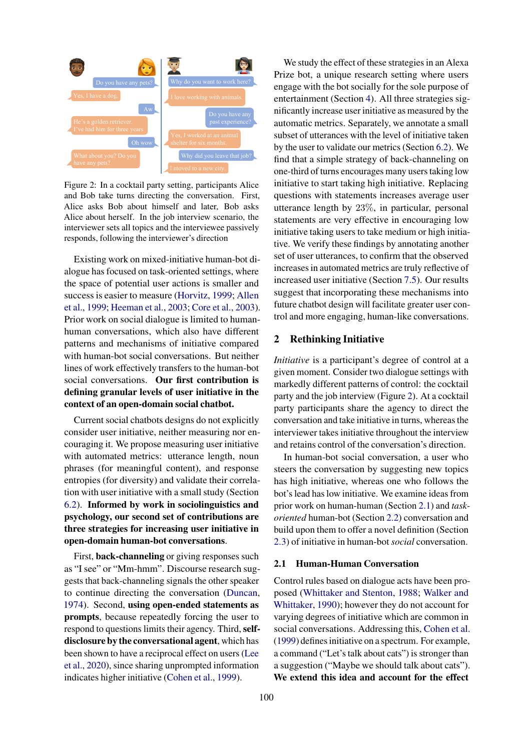<span id="page-1-0"></span>

Figure 2: In a cocktail party setting, participants Alice and Bob take turns directing the conversation. First, Alice asks Bob about himself and later, Bob asks Alice about herself. In the job interview scenario, the interviewer sets all topics and the interviewee passively responds, following the interviewer's direction

Existing work on mixed-initiative human-bot dialogue has focused on task-oriented settings, where the space of potential user actions is smaller and success is easier to measure [\(Horvitz,](#page-9-1) [1999;](#page-9-1) [Allen](#page-8-0) [et al.,](#page-8-0) [1999;](#page-8-0) [Heeman et al.,](#page-9-2) [2003;](#page-9-2) [Core et al.,](#page-9-3) [2003\)](#page-9-3). Prior work on social dialogue is limited to humanhuman conversations, which also have different patterns and mechanisms of initiative compared with human-bot social conversations. But neither lines of work effectively transfers to the human-bot social conversations. Our first contribution is defining granular levels of user initiative in the context of an open-domain social chatbot.

Current social chatbots designs do not explicitly consider user initiative, neither measuring nor encouraging it. We propose measuring user initiative with automated metrics: utterance length, noun phrases (for meaningful content), and response entropies (for diversity) and validate their correlation with user initiative with a small study (Section [6.2\)](#page-5-0). Informed by work in sociolinguistics and psychology, our second set of contributions are three strategies for increasing user initiative in open-domain human-bot conversations.

First, back-channeling or giving responses such as "I see" or "Mm-hmm". Discourse research suggests that back-channeling signals the other speaker to continue directing the conversation [\(Duncan,](#page-9-4) [1974\)](#page-9-4). Second, using open-ended statements as prompts, because repeatedly forcing the user to respond to questions limits their agency. Third, selfdisclosure by the conversational agent, which has been shown to have a reciprocal effect on users [\(Lee](#page-9-5) [et al.,](#page-9-5) [2020\)](#page-9-5), since sharing unprompted information indicates higher initiative [\(Cohen et al.,](#page-8-1) [1999\)](#page-8-1).

We study the effect of these strategies in an Alexa Prize bot, a unique research setting where users engage with the bot socially for the sole purpose of entertainment (Section [4\)](#page-4-0). All three strategies significantly increase user initiative as measured by the automatic metrics. Separately, we annotate a small subset of utterances with the level of initiative taken by the user to validate our metrics (Section [6.2\)](#page-5-0). We find that a simple strategy of back-channeling on one-third of turns encourages many users taking low initiative to start taking high initiative. Replacing questions with statements increases average user utterance length by 23%, in particular, personal statements are very effective in encouraging low initiative taking users to take medium or high initiative. We verify these findings by annotating another set of user utterances, to confirm that the observed increases in automated metrics are truly reflective of increased user initiative (Section [7.5\)](#page-7-0). Our results suggest that incorporating these mechanisms into future chatbot design will facilitate greater user control and more engaging, human-like conversations.

## 2 Rethinking Initiative

*Initiative* is a participant's degree of control at a given moment. Consider two dialogue settings with markedly different patterns of control: the cocktail party and the job interview (Figure [2\)](#page-1-0). At a cocktail party participants share the agency to direct the conversation and take initiative in turns, whereas the interviewer takes initiative throughout the interview and retains control of the conversation's direction.

In human-bot social conversation, a user who steers the conversation by suggesting new topics has high initiative, whereas one who follows the bot's lead has low initiative. We examine ideas from prior work on human-human (Section [2.1\)](#page-1-1) and *taskoriented* human-bot (Section [2.2\)](#page-2-0) conversation and build upon them to offer a novel definition (Section [2.3\)](#page-2-1) of initiative in human-bot *social* conversation.

### <span id="page-1-1"></span>2.1 Human-Human Conversation

Control rules based on dialogue acts have been proposed [\(Whittaker and Stenton,](#page-9-6) [1988;](#page-9-6) [Walker and](#page-9-0) [Whittaker,](#page-9-0) [1990\)](#page-9-0); however they do not account for varying degrees of initiative which are common in social conversations. Addressing this, [Cohen et al.](#page-8-1) [\(1999\)](#page-8-1) defines initiative on a spectrum. For example, a command ("Let's talk about cats") is stronger than a suggestion ("Maybe we should talk about cats"). We extend this idea and account for the effect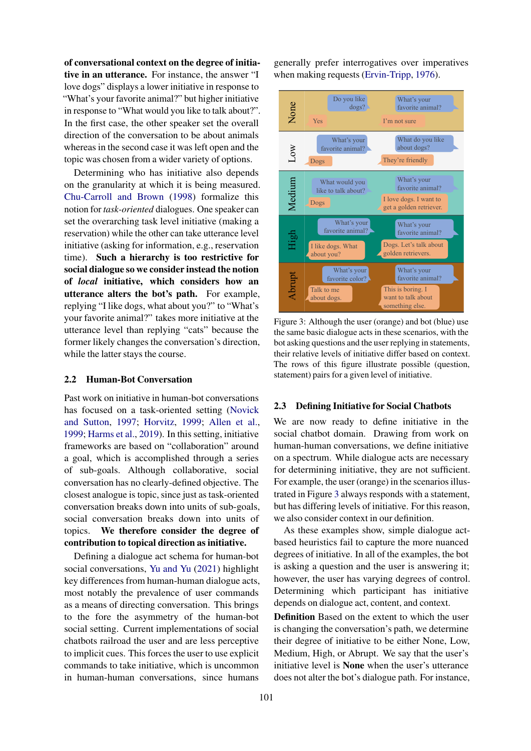of conversational context on the degree of initiative in an utterance. For instance, the answer "I love dogs" displays a lower initiative in response to "What's your favorite animal?" but higher initiative in response to "What would you like to talk about?". In the first case, the other speaker set the overall direction of the conversation to be about animals whereas in the second case it was left open and the topic was chosen from a wider variety of options.

Determining who has initiative also depends on the granularity at which it is being measured. [Chu-Carroll and Brown](#page-8-2) [\(1998\)](#page-8-2) formalize this notion for *task-oriented* dialogues. One speaker can set the overarching task level initiative (making a reservation) while the other can take utterance level initiative (asking for information, e.g., reservation time). Such a hierarchy is too restrictive for social dialogue so we consider instead the notion of *local* initiative, which considers how an utterance alters the bot's path. For example, replying "I like dogs, what about you?" to "What's your favorite animal?" takes more initiative at the utterance level than replying "cats" because the former likely changes the conversation's direction, while the latter stays the course.

## <span id="page-2-0"></span>2.2 Human-Bot Conversation

Past work on initiative in human-bot conversations has focused on a task-oriented setting [\(Novick](#page-9-7) [and Sutton,](#page-9-7) [1997;](#page-9-7) [Horvitz,](#page-9-1) [1999;](#page-9-1) [Allen et al.,](#page-8-0) [1999;](#page-8-0) [Harms et al.,](#page-9-8) [2019\)](#page-9-8). In this setting, initiative frameworks are based on "collaboration" around a goal, which is accomplished through a series of sub-goals. Although collaborative, social conversation has no clearly-defined objective. The closest analogue is topic, since just as task-oriented conversation breaks down into units of sub-goals, social conversation breaks down into units of topics. We therefore consider the degree of contribution to topical direction as initiative.

Defining a dialogue act schema for human-bot social conversations, [Yu and Yu](#page-9-9) [\(2021\)](#page-9-9) highlight key differences from human-human dialogue acts, most notably the prevalence of user commands as a means of directing conversation. This brings to the fore the asymmetry of the human-bot social setting. Current implementations of social chatbots railroad the user and are less perceptive to implicit cues. This forces the user to use explicit commands to take initiative, which is uncommon in human-human conversations, since humans

generally prefer interrogatives over imperatives when making requests [\(Ervin-Tripp,](#page-9-10) [1976\)](#page-9-10).

<span id="page-2-2"></span>

Figure 3: Although the user (orange) and bot (blue) use the same basic dialogue acts in these scenarios, with the bot asking questions and the user replying in statements, their relative levels of initiative differ based on context. The rows of this figure illustrate possible (question, statement) pairs for a given level of initiative.

## <span id="page-2-1"></span>2.3 Defining Initiative for Social Chatbots

We are now ready to define initiative in the social chatbot domain. Drawing from work on human-human conversations, we define initiative on a spectrum. While dialogue acts are necessary for determining initiative, they are not sufficient. For example, the user (orange) in the scenarios illustrated in Figure [3](#page-2-2) always responds with a statement, but has differing levels of initiative. For this reason, we also consider context in our definition.

As these examples show, simple dialogue actbased heuristics fail to capture the more nuanced degrees of initiative. In all of the examples, the bot is asking a question and the user is answering it; however, the user has varying degrees of control. Determining which participant has initiative depends on dialogue act, content, and context.

Definition Based on the extent to which the user is changing the conversation's path, we determine their degree of initiative to be either None, Low, Medium, High, or Abrupt. We say that the user's initiative level is None when the user's utterance does not alter the bot's dialogue path. For instance,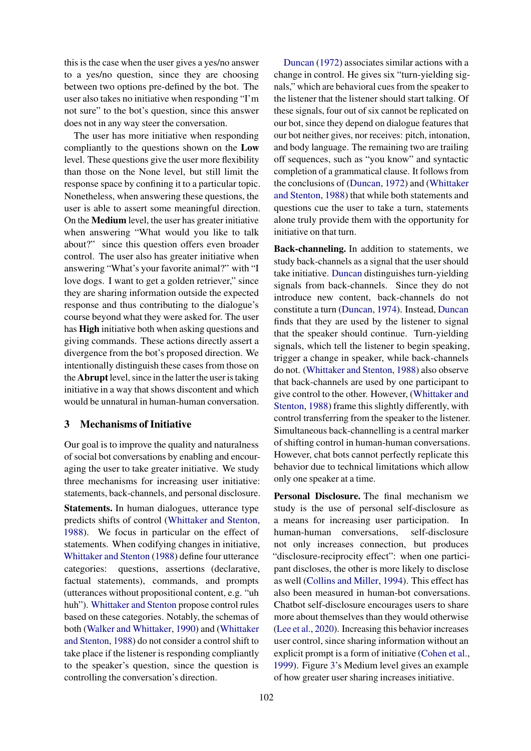this is the case when the user gives a yes/no answer to a yes/no question, since they are choosing between two options pre-defined by the bot. The user also takes no initiative when responding "I'm not sure" to the bot's question, since this answer does not in any way steer the conversation.

The user has more initiative when responding compliantly to the questions shown on the Low level. These questions give the user more flexibility than those on the None level, but still limit the response space by confining it to a particular topic. Nonetheless, when answering these questions, the user is able to assert some meaningful direction. On the Medium level, the user has greater initiative when answering "What would you like to talk about?" since this question offers even broader control. The user also has greater initiative when answering "What's your favorite animal?" with "I love dogs. I want to get a golden retriever," since they are sharing information outside the expected response and thus contributing to the dialogue's course beyond what they were asked for. The user has High initiative both when asking questions and giving commands. These actions directly assert a divergence from the bot's proposed direction. We intentionally distinguish these cases from those on the **Abrupt** level, since in the latter the user is taking initiative in a way that shows discontent and which would be unnatural in human-human conversation.

## <span id="page-3-0"></span>3 Mechanisms of Initiative

Our goal is to improve the quality and naturalness of social bot conversations by enabling and encouraging the user to take greater initiative. We study three mechanisms for increasing user initiative: statements, back-channels, and personal disclosure.

Statements. In human dialogues, utterance type predicts shifts of control [\(Whittaker and Stenton,](#page-9-6) [1988\)](#page-9-6). We focus in particular on the effect of statements. When codifying changes in initiative, [Whittaker and Stenton](#page-9-6) [\(1988\)](#page-9-6) define four utterance categories: questions, assertions (declarative, factual statements), commands, and prompts (utterances without propositional content, e.g. "uh huh"). [Whittaker and Stenton](#page-9-6) propose control rules based on these categories. Notably, the schemas of both [\(Walker and Whittaker,](#page-9-0) [1990\)](#page-9-0) and [\(Whittaker](#page-9-6) [and Stenton,](#page-9-6) [1988\)](#page-9-6) do not consider a control shift to take place if the listener is responding compliantly to the speaker's question, since the question is controlling the conversation's direction.

[Duncan](#page-9-11) [\(1972\)](#page-9-11) associates similar actions with a change in control. He gives six "turn-yielding signals," which are behavioral cues from the speaker to the listener that the listener should start talking. Of these signals, four out of six cannot be replicated on our bot, since they depend on dialogue features that our bot neither gives, nor receives: pitch, intonation, and body language. The remaining two are trailing off sequences, such as "you know" and syntactic completion of a grammatical clause. It follows from the conclusions of [\(Duncan,](#page-9-11) [1972\)](#page-9-11) and [\(Whittaker](#page-9-6) [and Stenton,](#page-9-6) [1988\)](#page-9-6) that while both statements and questions cue the user to take a turn, statements alone truly provide them with the opportunity for initiative on that turn.

Back-channeling. In addition to statements, we study back-channels as a signal that the user should take initiative. [Duncan](#page-9-11) distinguishes turn-yielding signals from back-channels. Since they do not introduce new content, back-channels do not constitute a turn [\(Duncan,](#page-9-4) [1974\)](#page-9-4). Instead, [Duncan](#page-9-4) finds that they are used by the listener to signal that the speaker should continue. Turn-yielding signals, which tell the listener to begin speaking, trigger a change in speaker, while back-channels do not. [\(Whittaker and Stenton,](#page-9-6) [1988\)](#page-9-6) also observe that back-channels are used by one participant to give control to the other. However, [\(Whittaker and](#page-9-6) [Stenton,](#page-9-6) [1988\)](#page-9-6) frame this slightly differently, with control transferring from the speaker to the listener. Simultaneous back-channelling is a central marker of shifting control in human-human conversations. However, chat bots cannot perfectly replicate this behavior due to technical limitations which allow only one speaker at a time.

Personal Disclosure. The final mechanism we study is the use of personal self-disclosure as a means for increasing user participation. In human-human conversations, self-disclosure not only increases connection, but produces "disclosure-reciprocity effect": when one participant discloses, the other is more likely to disclose as well [\(Collins and Miller,](#page-9-12) [1994\)](#page-9-12). This effect has also been measured in human-bot conversations. Chatbot self-disclosure encourages users to share more about themselves than they would otherwise [\(Lee et al.,](#page-9-5) [2020\)](#page-9-5). Increasing this behavior increases user control, since sharing information without an explicit prompt is a form of initiative [\(Cohen et al.,](#page-8-1) [1999\)](#page-8-1). Figure [3'](#page-2-2)s Medium level gives an example of how greater user sharing increases initiative.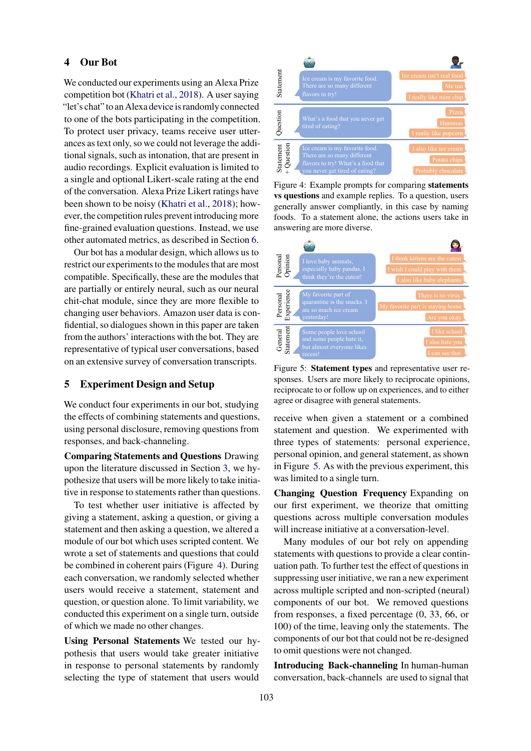### <span id="page-4-0"></span>4 Our Bot

We conducted our experiments using an Alexa Prize competition bot [\(Khatri et al.,](#page-9-13) [2018\)](#page-9-13). A user saying "let's chat" to an Alexa device is randomly connected to one of the bots participating in the competition. To protect user privacy, teams receive user utterances as text only, so we could not leverage the additional signals, such as intonation, that are present in audio recordings. Explicit evaluation is limited to a single and optional Likert-scale rating at the end of the conversation. Alexa Prize Likert ratings have been shown to be noisy [\(Khatri et al.,](#page-9-13) [2018\)](#page-9-13); however, the competition rules prevent introducing more fine-grained evaluation questions. Instead, we use other automated metrics, as described in Section [6.](#page-5-1)

Our bot has a modular design, which allows us to restrict our experiments to the modules that are most compatible. Specifically, these are the modules that are partially or entirely neural, such as our neural chit-chat module, since they are more flexible to changing user behaviors. Amazon user data is confidential, so dialogues shown in this paper are taken from the authors' interactions with the bot. They are representative of typical user conversations, based on an extensive survey of conversation transcripts.

## <span id="page-4-3"></span>5 Experiment Design and Setup

We conduct four experiments in our bot, studying the effects of combining statements and questions, using personal disclosure, removing questions from responses, and back-channeling.

Comparing Statements and Questions Drawing upon the literature discussed in Section [3,](#page-3-0) we hypothesize that users will be more likely to take initiative in response to statements rather than questions.

To test whether user initiative is affected by giving a statement, asking a question, or giving a statement and then asking a question, we altered a module of our bot which uses scripted content. We wrote a set of statements and questions that could be combined in coherent pairs (Figure [4\)](#page-4-1). During each conversation, we randomly selected whether users would receive a statement, statement and question, or question alone. To limit variability, we conducted this experiment on a single turn, outside of which we made no other changes.

Using Personal Statements We tested our hypothesis that users would take greater initiative in response to personal statements by randomly selecting the type of statement that users would

<span id="page-4-1"></span>

Figure 4: Example prompts for comparing statements vs questions and example replies. To a question, users generally answer compliantly, in this case by naming foods. To a statement alone, the actions users take in answering are more diverse.

<span id="page-4-2"></span>

Figure 5: Statement types and representative user responses. Users are more likely to reciprocate opinions, reciprocate to or follow up on experiences, and to either agree or disagree with general statements.

receive when given a statement or a combined statement and question. We experimented with three types of statements: personal experience, personal opinion, and general statement, as shown in Figure [5.](#page-4-2) As with the previous experiment, this was limited to a single turn.

Changing Question Frequency Expanding on our first experiment, we theorize that omitting questions across multiple conversation modules will increase initiative at a conversation-level.

Many modules of our bot rely on appending statements with questions to provide a clear continuation path. To further test the effect of questions in suppressing user initiative, we ran a new experiment across multiple scripted and non-scripted (neural) components of our bot. We removed questions from responses, a fixed percentage (0, 33, 66, or 100) of the time, leaving only the statements. The components of our bot that could not be re-designed to omit questions were not changed.

Introducing Back-channeling In human-human conversation, back-channels are used to signal that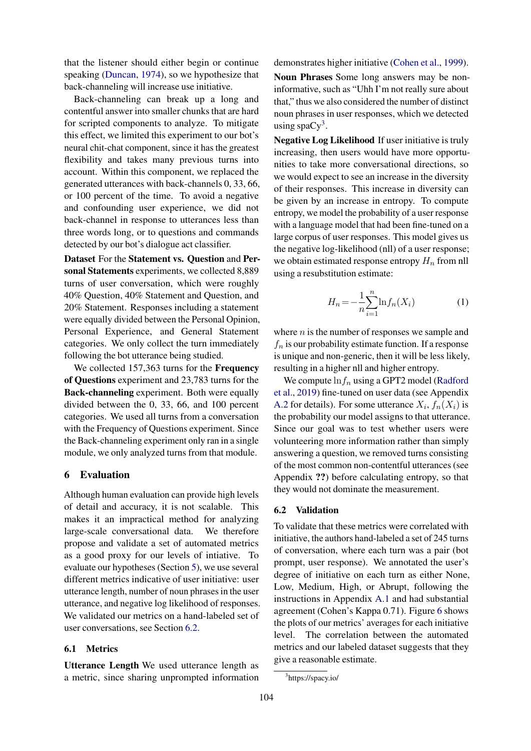that the listener should either begin or continue speaking [\(Duncan,](#page-9-4) [1974\)](#page-9-4), so we hypothesize that back-channeling will increase use initiative.

Back-channeling can break up a long and contentful answer into smaller chunks that are hard for scripted components to analyze. To mitigate this effect, we limited this experiment to our bot's neural chit-chat component, since it has the greatest flexibility and takes many previous turns into account. Within this component, we replaced the generated utterances with back-channels 0, 33, 66, or 100 percent of the time. To avoid a negative and confounding user experience, we did not back-channel in response to utterances less than three words long, or to questions and commands detected by our bot's dialogue act classifier.

Dataset For the Statement vs. Question and Personal Statements experiments, we collected 8,889 turns of user conversation, which were roughly 40% Question, 40% Statement and Question, and 20% Statement. Responses including a statement were equally divided between the Personal Opinion, Personal Experience, and General Statement categories. We only collect the turn immediately following the bot utterance being studied.

We collected 157,363 turns for the Frequency of Questions experiment and 23,783 turns for the Back-channeling experiment. Both were equally divided between the 0, 33, 66, and 100 percent categories. We used all turns from a conversation with the Frequency of Questions experiment. Since the Back-channeling experiment only ran in a single module, we only analyzed turns from that module.

## <span id="page-5-1"></span>6 Evaluation

Although human evaluation can provide high levels of detail and accuracy, it is not scalable. This makes it an impractical method for analyzing large-scale conversational data. We therefore propose and validate a set of automated metrics as a good proxy for our levels of intiative. To evaluate our hypotheses (Section [5\)](#page-4-3), we use several different metrics indicative of user initiative: user utterance length, number of noun phrases in the user utterance, and negative log likelihood of responses. We validated our metrics on a hand-labeled set of user conversations, see Section [6.2.](#page-5-0)

## 6.1 Metrics

Utterance Length We used utterance length as a metric, since sharing unprompted information demonstrates higher initiative [\(Cohen et al.,](#page-8-1) [1999\)](#page-8-1).

Noun Phrases Some long answers may be noninformative, such as "Uhh I'm not really sure about that," thus we also considered the number of distinct noun phrases in user responses, which we detected using spaCy<sup>[3](#page-5-2)</sup>.

Negative Log Likelihood If user initiative is truly increasing, then users would have more opportunities to take more conversational directions, so we would expect to see an increase in the diversity of their responses. This increase in diversity can be given by an increase in entropy. To compute entropy, we model the probability of a user response with a language model that had been fine-tuned on a large corpus of user responses. This model gives us the negative log-likelihood (nll) of a user response; we obtain estimated response entropy  $H_n$  from nll using a resubstitution estimate:

$$
H_n = -\frac{1}{n} \sum_{i=1}^{n} \ln f_n(X_i)
$$
 (1)

where  $n$  is the number of responses we sample and  $f_n$  is our probability estimate function. If a response is unique and non-generic, then it will be less likely, resulting in a higher nll and higher entropy.

We compute  $\ln f_n$  using a GPT2 model [\(Radford](#page-9-14) [et al.,](#page-9-14) [2019\)](#page-9-14) fine-tuned on user data (see Appendix [A.2](#page-10-0) for details). For some utterance  $X_i$ ,  $f_n(X_i)$  is the probability our model assigns to that utterance. Since our goal was to test whether users were volunteering more information rather than simply answering a question, we removed turns consisting of the most common non-contentful utterances (see Appendix ??) before calculating entropy, so that they would not dominate the measurement.

#### <span id="page-5-0"></span>6.2 Validation

To validate that these metrics were correlated with initiative, the authors hand-labeled a set of 245 turns of conversation, where each turn was a pair (bot prompt, user response). We annotated the user's degree of initiative on each turn as either None, Low, Medium, High, or Abrupt, following the instructions in Appendix [A.1](#page-10-1) and had substantial agreement (Cohen's Kappa 0.71). Figure [6](#page-6-0) shows the plots of our metrics' averages for each initiative level. The correlation between the automated metrics and our labeled dataset suggests that they give a reasonable estimate.

<span id="page-5-2"></span><sup>3</sup> https://spacy.io/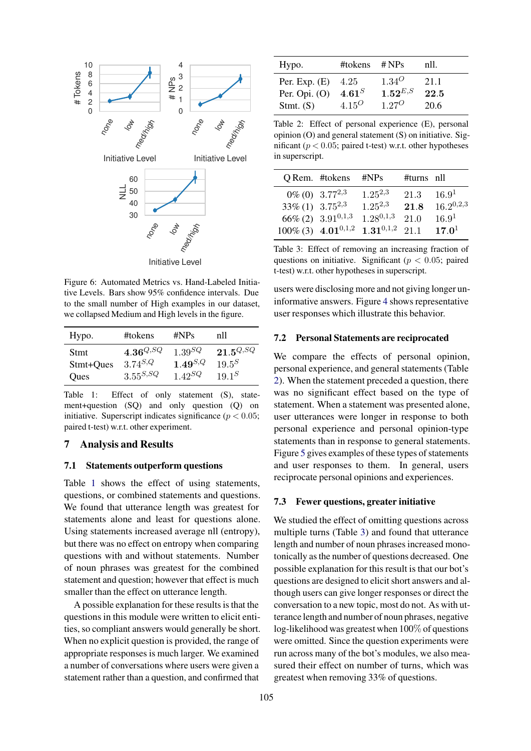<span id="page-6-0"></span>

Figure 6: Automated Metrics vs. Hand-Labeled Initiative Levels. Bars show 95% confidence intervals. Due to the small number of High examples in our dataset, we collapsed Medium and High levels in the figure.

<span id="page-6-1"></span>

| Hypo.     | #tokens                | # $NPS$      | nII           |
|-----------|------------------------|--------------|---------------|
| Stmt      | $\mathbf{4.36}^{Q,SQ}$ | $1.39^{SQ}$  | $21.5^{Q,SQ}$ |
| Stmt+Ques | $3.74^{S,Q}$           | $1.49^{S,Q}$ | $19.5^{S}$    |
| Oues      | $3.55^{S,SQ}$          | $1.42^{SQ}$  | $19.1^{S}$    |

Table 1: Effect of only statement (S), statement+question (SQ) and only question (Q) on initiative. Superscript indicates significance ( $p < 0.05$ ; paired t-test) w.r.t. other experiment.

## 7 Analysis and Results

#### 7.1 Statements outperform questions

Table [1](#page-6-1) shows the effect of using statements, questions, or combined statements and questions. We found that utterance length was greatest for statements alone and least for questions alone. Using statements increased average nll (entropy), but there was no effect on entropy when comparing questions with and without statements. Number of noun phrases was greatest for the combined statement and question; however that effect is much smaller than the effect on utterance length.

A possible explanation for these results is that the questions in this module were written to elicit entities, so compliant answers would generally be short. When no explicit question is provided, the range of appropriate responses is much larger. We examined a number of conversations where users were given a statement rather than a question, and confirmed that

<span id="page-6-2"></span>

| Hypo.                              | #tokens                        | # $NPs$                    | nll.         |
|------------------------------------|--------------------------------|----------------------------|--------------|
| Per. Exp. $(E)$<br>Per. Opi. $(O)$ | 4.25<br>$4.61^S$               | $1.34^{O}$<br>$1.52^{E,S}$ | 21.1<br>22.5 |
| Stmt. $(S)$                        | 4.15 <sup><math>O</math></sup> | $1.27^{O}$                 | 20.6         |

Table 2: Effect of personal experience (E), personal opinion (O) and general statement (S) on initiative. Significant ( $p < 0.05$ ; paired t-test) w.r.t. other hypotheses in superscript.

<span id="page-6-3"></span>

|                         | Q Rem. #tokens            | $\#NPs$        | #turns nll |                   |
|-------------------------|---------------------------|----------------|------------|-------------------|
|                         | $0\%$ (0) $3.77^{2,3}$    | $1.25^{2,3}$   | 21.3       | 16.9 <sup>1</sup> |
| $33\% (1)$ $3.75^{2,3}$ |                           | $1.25^{2,3}$   | 21.8       | $16.2^{0,2,3}$    |
|                         | $66\%$ (2) $3.91^{0,1,3}$ | $1.28^{0,1,3}$ | 21.0       | 16.9 <sup>1</sup> |
|                         | 100\% (3) 4.01\, 0.1\, 2  | $1.31^{0,1,2}$ | 21 1       | $17.0^{1}$        |

Table 3: Effect of removing an increasing fraction of questions on initiative. Significant ( $p < 0.05$ ; paired t-test) w.r.t. other hypotheses in superscript.

users were disclosing more and not giving longer uninformative answers. Figure [4](#page-4-1) shows representative user responses which illustrate this behavior.

### 7.2 Personal Statements are reciprocated

We compare the effects of personal opinion, personal experience, and general statements (Table [2\)](#page-6-2). When the statement preceded a question, there was no significant effect based on the type of statement. When a statement was presented alone, user utterances were longer in response to both personal experience and personal opinion-type statements than in response to general statements. Figure [5](#page-4-2) gives examples of these types of statements and user responses to them. In general, users reciprocate personal opinions and experiences.

### 7.3 Fewer questions, greater initiative

We studied the effect of omitting questions across multiple turns (Table [3\)](#page-6-3) and found that utterance length and number of noun phrases increased monotonically as the number of questions decreased. One possible explanation for this result is that our bot's questions are designed to elicit short answers and although users can give longer responses or direct the conversation to a new topic, most do not. As with utterance length and number of noun phrases, negative log-likelihood was greatest when 100% of questions were omitted. Since the question experiments were run across many of the bot's modules, we also measured their effect on number of turns, which was greatest when removing 33% of questions.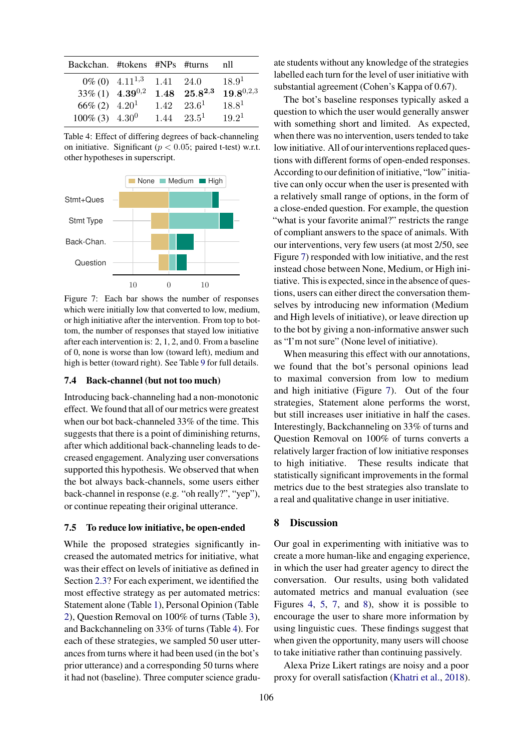<span id="page-7-1"></span>

| Backchan. #tokens #NPs #turns  |                        |      |                     | nll               |
|--------------------------------|------------------------|------|---------------------|-------------------|
|                                | $0\%$ (0) $4.11^{1,3}$ | 1.41 | 24.0                | 18.9 <sup>1</sup> |
| $33\% (1)$ 4.39 <sup>0,2</sup> |                        |      | $1.48$ $25.8^{2,3}$ | $19.8^{0,2,3}$    |
| $66\% (2)$ 4.20 <sup>1</sup>   |                        |      | $1.42 \quad 23.6^1$ | $18.8^{1}$        |
| $100\%$ (3) $4.30^0$           |                        |      | $1.44 \quad 23.5^1$ | $19.2^1$          |

Table 4: Effect of differing degrees of back-channeling on initiative. Significant ( $p < 0.05$ ; paired t-test) w.r.t. other hypotheses in superscript.

<span id="page-7-2"></span>

Figure 7: Each bar shows the number of responses which were initially low that converted to low, medium, or high initiative after the intervention. From top to bottom, the number of responses that stayed low initiative after each intervention is: 2, 1, 2, and 0. From a baseline of 0, none is worse than low (toward left), medium and high is better (toward right). See Table [9](#page-10-2) for full details.

#### 7.4 Back-channel (but not too much)

Introducing back-channeling had a non-monotonic effect. We found that all of our metrics were greatest when our bot back-channeled 33% of the time. This suggests that there is a point of diminishing returns, after which additional back-channeling leads to decreased engagement. Analyzing user conversations supported this hypothesis. We observed that when the bot always back-channels, some users either back-channel in response (e.g. "oh really?", "yep"), or continue repeating their original utterance.

#### <span id="page-7-0"></span>7.5 To reduce low initiative, be open-ended

While the proposed strategies significantly increased the automated metrics for initiative, what was their effect on levels of initiative as defined in Section [2.3?](#page-2-1) For each experiment, we identified the most effective strategy as per automated metrics: Statement alone (Table [1\)](#page-6-1), Personal Opinion (Table [2\)](#page-6-2), Question Removal on 100% of turns (Table [3\)](#page-6-3), and Backchanneling on 33% of turns (Table [4\)](#page-7-1). For each of these strategies, we sampled 50 user utterances from turns where it had been used (in the bot's prior utterance) and a corresponding 50 turns where it had not (baseline). Three computer science graduate students without any knowledge of the strategies labelled each turn for the level of user initiative with substantial agreement (Cohen's Kappa of 0.67).

The bot's baseline responses typically asked a question to which the user would generally answer with something short and limited. As expected, when there was no intervention, users tended to take low initiative. All of our interventions replaced questions with different forms of open-ended responses. According to our definition of initiative, "low" initiative can only occur when the user is presented with a relatively small range of options, in the form of a close-ended question. For example, the question "what is your favorite animal?" restricts the range of compliant answers to the space of animals. With our interventions, very few users (at most 2/50, see Figure [7\)](#page-7-2) responded with low initiative, and the rest instead chose between None, Medium, or High initiative. This is expected, since in the absence of questions, users can either direct the conversation themselves by introducing new information (Medium and High levels of initiative), or leave direction up to the bot by giving a non-informative answer such as "I'm not sure" (None level of initiative).

When measuring this effect with our annotations, we found that the bot's personal opinions lead to maximal conversion from low to medium and high initiative (Figure [7\)](#page-7-2). Out of the four strategies, Statement alone performs the worst, but still increases user initiative in half the cases. Interestingly, Backchanneling on 33% of turns and Question Removal on 100% of turns converts a relatively larger fraction of low initiative responses to high initiative. These results indicate that statistically significant improvements in the formal metrics due to the best strategies also translate to a real and qualitative change in user initiative.

#### 8 Discussion

Our goal in experimenting with initiative was to create a more human-like and engaging experience, in which the user had greater agency to direct the conversation. Our results, using both validated automated metrics and manual evaluation (see Figures [4,](#page-4-1) [5,](#page-4-2) [7,](#page-7-2) and [8\)](#page-10-3), show it is possible to encourage the user to share more information by using linguistic cues. These findings suggest that when given the opportunity, many users will choose to take initiative rather than continuing passively.

Alexa Prize Likert ratings are noisy and a poor proxy for overall satisfaction [\(Khatri et al.,](#page-9-13) [2018\)](#page-9-13).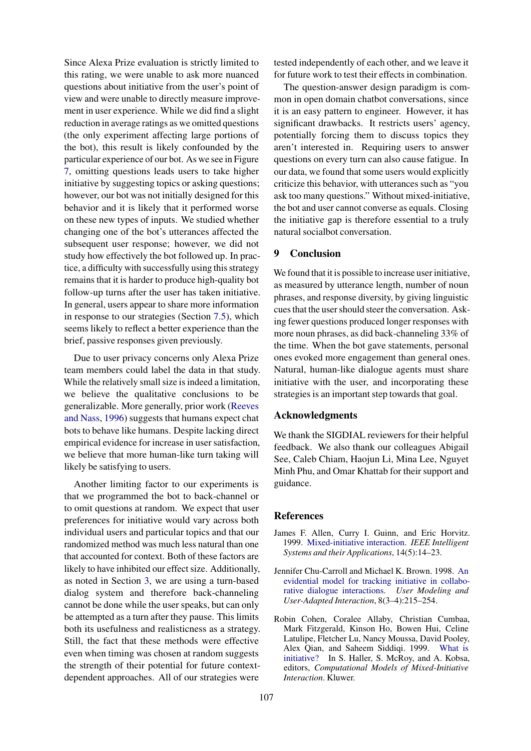Since Alexa Prize evaluation is strictly limited to this rating, we were unable to ask more nuanced questions about initiative from the user's point of view and were unable to directly measure improvement in user experience. While we did find a slight reduction in average ratings as we omitted questions (the only experiment affecting large portions of the bot), this result is likely confounded by the particular experience of our bot. As we see in Figure [7,](#page-7-2) omitting questions leads users to take higher initiative by suggesting topics or asking questions; however, our bot was not initially designed for this behavior and it is likely that it performed worse on these new types of inputs. We studied whether changing one of the bot's utterances affected the subsequent user response; however, we did not study how effectively the bot followed up. In practice, a difficulty with successfully using this strategy remains that it is harder to produce high-quality bot follow-up turns after the user has taken initiative. In general, users appear to share more information in response to our strategies (Section [7.5\)](#page-7-0), which seems likely to reflect a better experience than the brief, passive responses given previously.

Due to user privacy concerns only Alexa Prize team members could label the data in that study. While the relatively small size is indeed a limitation, we believe the qualitative conclusions to be generalizable. More generally, prior work [\(Reeves](#page-9-15) [and Nass,](#page-9-15) [1996\)](#page-9-15) suggests that humans expect chat bots to behave like humans. Despite lacking direct empirical evidence for increase in user satisfaction, we believe that more human-like turn taking will likely be satisfying to users.

Another limiting factor to our experiments is that we programmed the bot to back-channel or to omit questions at random. We expect that user preferences for initiative would vary across both individual users and particular topics and that our randomized method was much less natural than one that accounted for context. Both of these factors are likely to have inhibited our effect size. Additionally, as noted in Section [3,](#page-3-0) we are using a turn-based dialog system and therefore back-channeling cannot be done while the user speaks, but can only be attempted as a turn after they pause. This limits both its usefulness and realisticness as a strategy. Still, the fact that these methods were effective even when timing was chosen at random suggests the strength of their potential for future contextdependent approaches. All of our strategies were

tested independently of each other, and we leave it for future work to test their effects in combination.

The question-answer design paradigm is common in open domain chatbot conversations, since it is an easy pattern to engineer. However, it has significant drawbacks. It restricts users' agency, potentially forcing them to discuss topics they aren't interested in. Requiring users to answer questions on every turn can also cause fatigue. In our data, we found that some users would explicitly criticize this behavior, with utterances such as "you ask too many questions." Without mixed-initiative, the bot and user cannot converse as equals. Closing the initiative gap is therefore essential to a truly natural socialbot conversation.

## 9 Conclusion

We found that it is possible to increase user initiative, as measured by utterance length, number of noun phrases, and response diversity, by giving linguistic cues that the user should steer the conversation. Asking fewer questions produced longer responses with more noun phrases, as did back-channeling 33% of the time. When the bot gave statements, personal ones evoked more engagement than general ones. Natural, human-like dialogue agents must share initiative with the user, and incorporating these strategies is an important step towards that goal.

## Acknowledgments

We thank the SIGDIAL reviewers for their helpful feedback. We also thank our colleagues Abigail See, Caleb Chiam, Haojun Li, Mina Lee, Nguyet Minh Phu, and Omar Khattab for their support and guidance.

#### **References**

- <span id="page-8-0"></span>James F. Allen, Curry I. Guinn, and Eric Horvitz. 1999. [Mixed-initiative interaction.](https://doi.org/10.1109/5254.796083) *IEEE Intelligent Systems and their Applications*, 14(5):14–23.
- <span id="page-8-2"></span>Jennifer Chu-Carroll and Michael K. Brown. 1998. [An](https://doi.org/10.1023/A:1008205526147) [evidential model for tracking initiative in collabo](https://doi.org/10.1023/A:1008205526147)[rative dialogue interactions.](https://doi.org/10.1023/A:1008205526147) *User Modeling and User-Adapted Interaction*, 8(3–4):215–254.
- <span id="page-8-1"></span>Robin Cohen, Coralee Allaby, Christian Cumbaa, Mark Fitzgerald, Kinson Ho, Bowen Hui, Celine Latulipe, Fletcher Lu, Nancy Moussa, David Pooley, Alex Qian, and Saheem Siddiqi. 1999. [What is](https://doi.org/10.1023/A:1008398023083) [initiative?](https://doi.org/10.1023/A:1008398023083) In S. Haller, S. McRoy, and A. Kobsa, editors, *Computational Models of Mixed-Initiative Interaction*. Kluwer.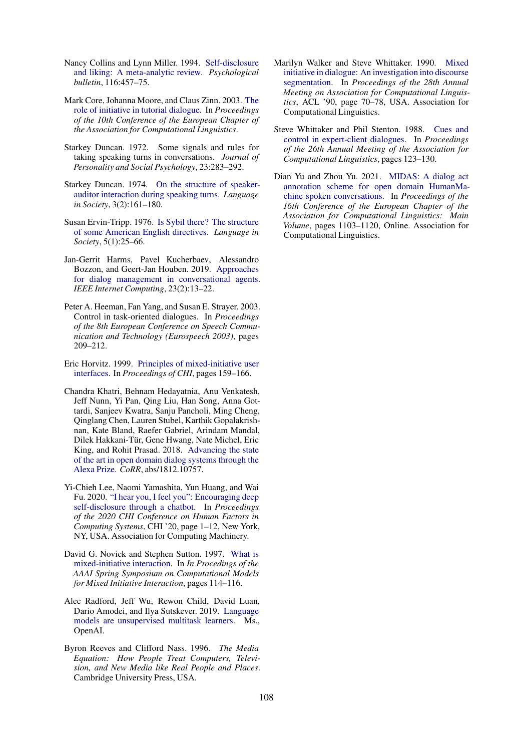- <span id="page-9-12"></span>Nancy Collins and Lynn Miller. 1994. [Self-disclosure](https://doi.org/10.1037//0033-2909.116.3.457) [and liking: A meta-analytic review.](https://doi.org/10.1037//0033-2909.116.3.457) *Psychological bulletin*, 116:457–75.
- <span id="page-9-3"></span>Mark Core, Johanna Moore, and Claus Zinn. 2003. [The](https://doi.org/10.3115/1067807.1067818) [role of initiative in tutorial dialogue.](https://doi.org/10.3115/1067807.1067818) In *Proceedings of the 10th Conference of the European Chapter of the Association for Computational Linguistics*.
- <span id="page-9-11"></span>Starkey Duncan. 1972. Some signals and rules for taking speaking turns in conversations. *Journal of Personality and Social Psychology*, 23:283–292.
- <span id="page-9-4"></span>Starkey Duncan. 1974. [On the structure of speaker](http://www.jstor.org/stable/4166761)[auditor interaction during speaking turns.](http://www.jstor.org/stable/4166761) *Language in Society*, 3(2):161–180.
- <span id="page-9-10"></span>Susan Ervin-Tripp. 1976. [Is Sybil there? The structure](http://www.jstor.org/stable/4166849) [of some American English directives.](http://www.jstor.org/stable/4166849) *Language in Society*, 5(1):25–66.
- <span id="page-9-8"></span>Jan-Gerrit Harms, Pavel Kucherbaev, Alessandro Bozzon, and Geert-Jan Houben. 2019. [Approaches](https://doi.org/10.1109/MIC.2018.2881519) [for dialog management in conversational agents.](https://doi.org/10.1109/MIC.2018.2881519) *IEEE Internet Computing*, 23(2):13–22.
- <span id="page-9-2"></span>Peter A. Heeman, Fan Yang, and Susan E. Strayer. 2003. Control in task-oriented dialogues. In *Proceedings of the 8th European Conference on Speech Communication and Technology (Eurospeech 2003)*, pages 209–212.
- <span id="page-9-1"></span>Eric Horvitz. 1999. [Principles of mixed-initiative user](https://doi.org/10.1145/302979.303030) [interfaces.](https://doi.org/10.1145/302979.303030) In *Proceedings of CHI*, pages 159–166.
- <span id="page-9-13"></span>Chandra Khatri, Behnam Hedayatnia, Anu Venkatesh, Jeff Nunn, Yi Pan, Qing Liu, Han Song, Anna Gottardi, Sanjeev Kwatra, Sanju Pancholi, Ming Cheng, Qinglang Chen, Lauren Stubel, Karthik Gopalakrishnan, Kate Bland, Raefer Gabriel, Arindam Mandal, Dilek Hakkani-Tur, Gene Hwang, Nate Michel, Eric ¨ King, and Rohit Prasad. 2018. [Advancing the state](http://arxiv.org/abs/1812.10757) [of the art in open domain dialog systems through the](http://arxiv.org/abs/1812.10757) [Alexa Prize.](http://arxiv.org/abs/1812.10757) *CoRR*, abs/1812.10757.
- <span id="page-9-5"></span>Yi-Chieh Lee, Naomi Yamashita, Yun Huang, and Wai Fu. 2020. ["I hear you, I feel you": Encouraging deep](https://doi.org/10.1145/3313831.3376175) [self-disclosure through a chatbot.](https://doi.org/10.1145/3313831.3376175) In *Proceedings of the 2020 CHI Conference on Human Factors in Computing Systems*, CHI '20, page 1–12, New York, NY, USA. Association for Computing Machinery.
- <span id="page-9-7"></span>David G. Novick and Stephen Sutton. 1997. [What is](https://www.aaai.org/Papers/Symposia/Spring/1997/SS-97-04/SS97-04-021.pdf) [mixed-initiative interaction.](https://www.aaai.org/Papers/Symposia/Spring/1997/SS-97-04/SS97-04-021.pdf) In *In Procedings of the AAAI Spring Symposium on Computational Models for Mixed Initiative Interaction*, pages 114–116.
- <span id="page-9-14"></span>Alec Radford, Jeff Wu, Rewon Child, David Luan, Dario Amodei, and Ilya Sutskever. 2019. [Language](https://cdn.openai.com/better-language-models/language_models_are_unsupervised_multitask_learners.pdf) [models are unsupervised multitask learners.](https://cdn.openai.com/better-language-models/language_models_are_unsupervised_multitask_learners.pdf) Ms., OpenAI.
- <span id="page-9-15"></span>Byron Reeves and Clifford Nass. 1996. *The Media Equation: How People Treat Computers, Television, and New Media like Real People and Places*. Cambridge University Press, USA.
- <span id="page-9-0"></span>Marilyn Walker and Steve Whittaker. 1990. [Mixed](https://doi.org/10.3115/981823.981833) [initiative in dialogue: An investigation into discourse](https://doi.org/10.3115/981823.981833) [segmentation.](https://doi.org/10.3115/981823.981833) In *Proceedings of the 28th Annual Meeting on Association for Computational Linguistics*, ACL '90, page 70–78, USA. Association for Computational Linguistics.
- <span id="page-9-6"></span>Steve Whittaker and Phil Stenton. 1988. [Cues and](https://doi.org/10.3115/982023.982038) [control in expert-client dialogues.](https://doi.org/10.3115/982023.982038) In *Proceedings of the 26th Annual Meeting of the Association for Computational Linguistics*, pages 123–130.
- <span id="page-9-9"></span>Dian Yu and Zhou Yu. 2021. [MIDAS: A dialog act](https://www.aclweb.org/anthology/2021.eacl-main.94) [annotation scheme for open domain HumanMa](https://www.aclweb.org/anthology/2021.eacl-main.94)[chine spoken conversations.](https://www.aclweb.org/anthology/2021.eacl-main.94) In *Proceedings of the 16th Conference of the European Chapter of the Association for Computational Linguistics: Main Volume*, pages 1103–1120, Online. Association for Computational Linguistics.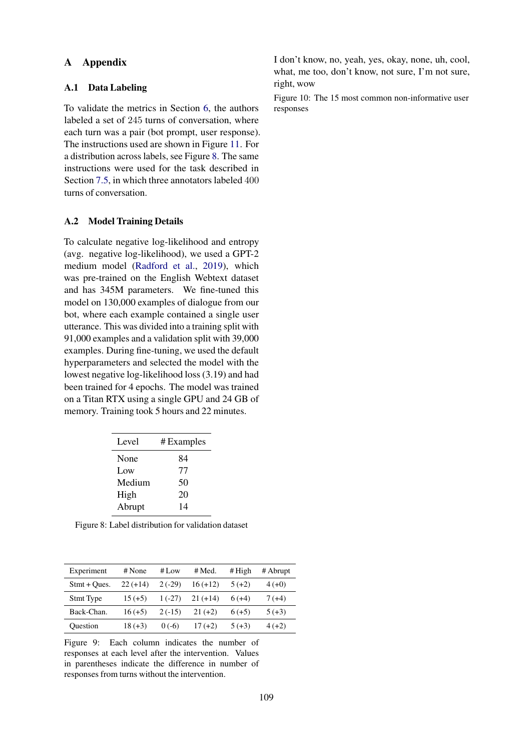## A Appendix

## <span id="page-10-1"></span>A.1 Data Labeling

To validate the metrics in Section [6,](#page-5-1) the authors labeled a set of 245 turns of conversation, where each turn was a pair (bot prompt, user response). The instructions used are shown in Figure [11.](#page-11-0) For a distribution across labels, see Figure [8.](#page-10-3) The same instructions were used for the task described in Section [7.5,](#page-7-0) in which three annotators labeled 400 turns of conversation.

## <span id="page-10-0"></span>A.2 Model Training Details

To calculate negative log-likelihood and entropy (avg. negative log-likelihood), we used a GPT-2 medium model [\(Radford et al.,](#page-9-14) [2019\)](#page-9-14), which was pre-trained on the English Webtext dataset and has 345M parameters. We fine-tuned this model on 130,000 examples of dialogue from our bot, where each example contained a single user utterance. This was divided into a training split with 91,000 examples and a validation split with 39,000 examples. During fine-tuning, we used the default hyperparameters and selected the model with the lowest negative log-likelihood loss (3.19) and had been trained for 4 epochs. The model was trained on a Titan RTX using a single GPU and 24 GB of memory. Training took 5 hours and 22 minutes.

<span id="page-10-3"></span>

| Level  | # Examples |
|--------|------------|
| None   | 84         |
| Low    | 77         |
| Medium | 50         |
| High   | 20         |
| Abrupt | 14         |

Figure 8: Label distribution for validation dataset

<span id="page-10-2"></span>

| Experiment     | # None     | # Low    | # Med.     | # $High$ | # Abrupt |
|----------------|------------|----------|------------|----------|----------|
| $Stmt + Oues.$ | $22 (+14)$ | $2(-29)$ | $16 (+12)$ | $5(+2)$  | $4(+0)$  |
| Stmt Type      | $15 (+5)$  | $1(-27)$ | $21 (+14)$ | $6(+4)$  | $7(+4)$  |
| Back-Chan.     | $16 (+5)$  | $2(-15)$ | $21 (+2)$  | $6(+5)$  | $5(+3)$  |
| Ouestion       | $18 (+3)$  | $0(-6)$  | $17(+2)$   | $5(+3)$  | $4(+2)$  |

Figure 9: Each column indicates the number of responses at each level after the intervention. Values in parentheses indicate the difference in number of responses from turns without the intervention.

I don't know, no, yeah, yes, okay, none, uh, cool, what, me too, don't know, not sure, I'm not sure, right, wow

Figure 10: The 15 most common non-informative user responses